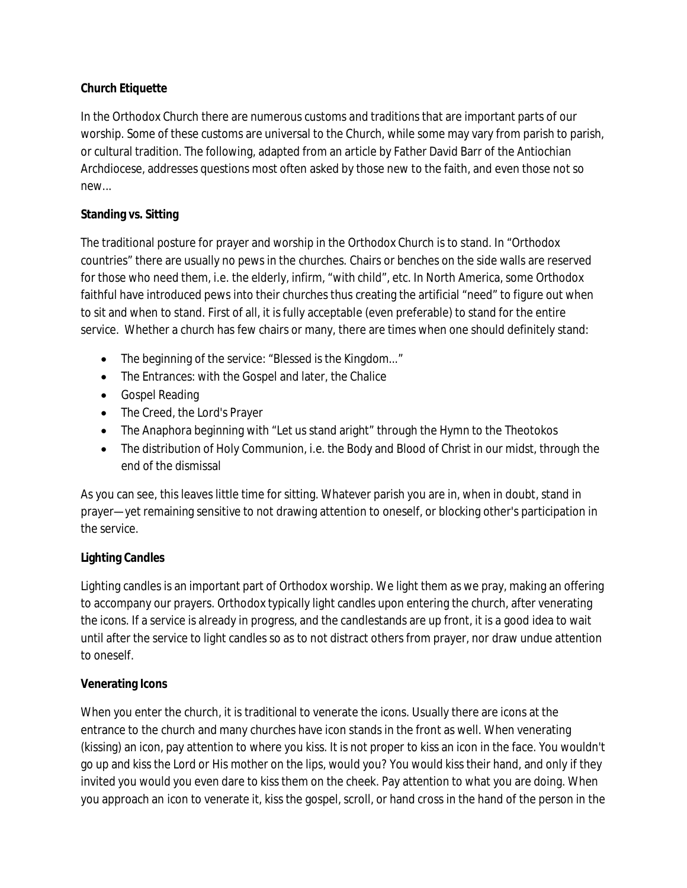### **Church Etiquette**

In the Orthodox Church there are numerous customs and traditions that are important parts of our worship. Some of these customs are universal to the Church, while some may vary from parish to parish, or cultural tradition. The following, adapted from an article by Father David Barr of the Antiochian Archdiocese, addresses questions most often asked by those new to the faith, and even those not so new...

#### **Standing vs. Sitting**

The traditional posture for prayer and worship in the Orthodox Church is to stand. In "Orthodox countries" there are usually no pews in the churches. Chairs or benches on the side walls are reserved for those who need them, i.e. the elderly, infirm, "with child", etc. In North America, some Orthodox faithful have introduced pews into their churches thus creating the artificial "need" to figure out when to sit and when to stand. First of all, it is fully acceptable (even preferable) to stand for the entire service. Whether a church has few chairs or many, there are times when one should definitely stand:

- The beginning of the service: "Blessed is the Kingdom..."
- The Entrances: with the Gospel and later, the Chalice
- Gospel Reading
- The Creed, the Lord's Prayer
- The Anaphora beginning with "Let us stand aright" through the Hymn to the Theotokos
- The distribution of Holy Communion, i.e. the Body and Blood of Christ in our midst, through the end of the dismissal

As you can see, this leaves little time for sitting. Whatever parish you are in, when in doubt, stand in prayer—yet remaining sensitive to not drawing attention to oneself, or blocking other's participation in the service.

### **Lighting Candles**

Lighting candles is an important part of Orthodox worship. We light them as we pray, making an offering to accompany our prayers. Orthodox typically light candles upon entering the church, after venerating the icons. If a service is already in progress, and the candlestands are up front, it is a good idea to wait until after the service to light candles so as to not distract others from prayer, nor draw undue attention to oneself.

### **Venerating Icons**

When you enter the church, it is traditional to venerate the icons. Usually there are icons at the entrance to the church and many churches have icon stands in the front as well. When venerating (kissing) an icon, pay attention to where you kiss. It is not proper to kiss an icon in the face. You wouldn't go up and kiss the Lord or His mother on the lips, would you? You would kiss their hand, and only if they invited you would you even dare to kiss them on the cheek. Pay attention to what you are doing. When you approach an icon to venerate it, kiss the gospel, scroll, or hand cross in the hand of the person in the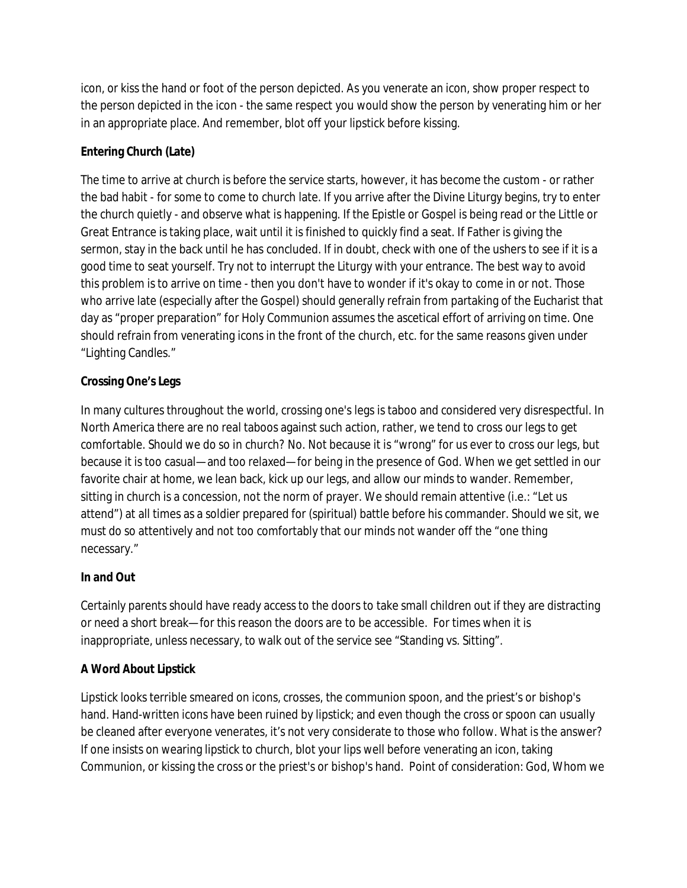icon, or kiss the hand or foot of the person depicted. As you venerate an icon, show proper respect to the person depicted in the icon - the same respect you would show the person by venerating him or her in an appropriate place. And remember, blot off your lipstick before kissing.

### **Entering Church (Late)**

The time to arrive at church is before the service starts, however, it has become the custom - or rather the bad habit - for some to come to church late. If you arrive after the Divine Liturgy begins, try to enter the church quietly - and observe what is happening. If the Epistle or Gospel is being read or the Little or Great Entrance is taking place, wait until it is finished to quickly find a seat. If Father is giving the sermon, stay in the back until he has concluded. If in doubt, check with one of the ushers to see if it is a good time to seat yourself. Try not to interrupt the Liturgy with your entrance. The best way to avoid this problem is to arrive on time - then you don't have to wonder if it's okay to come in or not. Those who arrive late (especially after the Gospel) should generally refrain from partaking of the Eucharist that day as "proper preparation" for Holy Communion assumes the ascetical effort of arriving on time. One should refrain from venerating icons in the front of the church, etc. for the same reasons given under "Lighting Candles."

### **Crossing One's Legs**

In many cultures throughout the world, crossing one's legs is taboo and considered very disrespectful. In North America there are no real taboos against such action, rather, we tend to cross our legs to get comfortable. Should we do so in church? No. Not because it is "wrong" for us ever to cross our legs, but because it is too casual—and too relaxed—for being in the presence of God. When we get settled in our favorite chair at home, we lean back, kick up our legs, and allow our minds to wander. Remember, sitting in church is a concession, not the norm of prayer. We should remain attentive (i.e.: "Let us attend") at all times as a soldier prepared for (spiritual) battle before his commander. Should we sit, we must do so attentively and not too comfortably that our minds not wander off the "one thing necessary."

### **In and Out**

Certainly parents should have ready access to the doors to take small children out if they are distracting or need a short break—for this reason the doors are to be accessible. For times when it is inappropriate, unless necessary, to walk out of the service see "Standing vs. Sitting".

### **A Word About Lipstick**

Lipstick looks terrible smeared on icons, crosses, the communion spoon, and the priest's or bishop's hand. Hand-written icons have been ruined by lipstick; and even though the cross or spoon can usually be cleaned after everyone venerates, it's not very considerate to those who follow. What is the answer? If one insists on wearing lipstick to church, blot your lips well before venerating an icon, taking Communion, or kissing the cross or the priest's or bishop's hand. Point of consideration: God, Whom we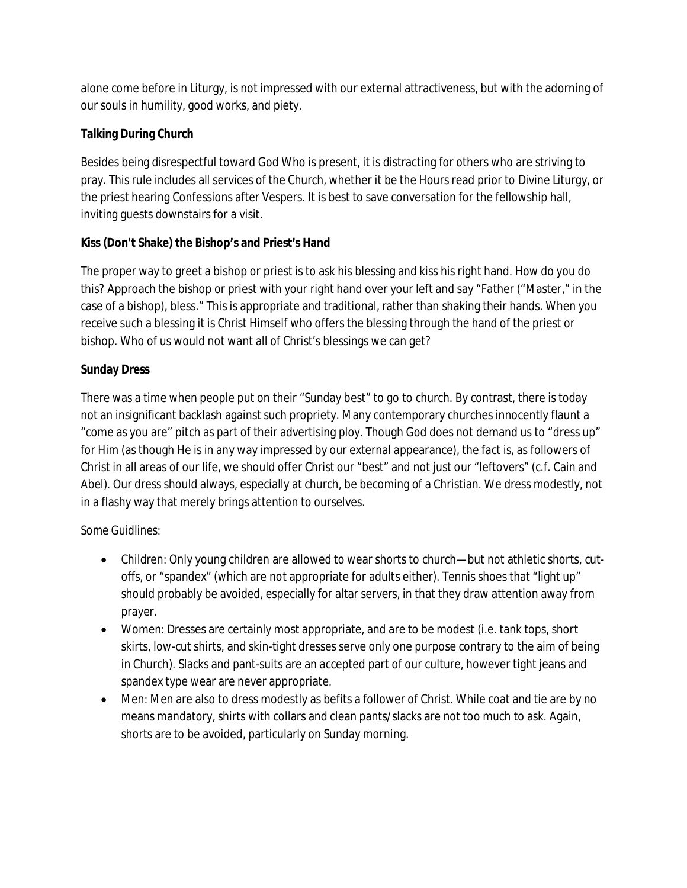alone come before in Liturgy, is not impressed with our external attractiveness, but with the adorning of our souls in humility, good works, and piety.

# **Talking During Church**

Besides being disrespectful toward God Who is present, it is distracting for others who are striving to pray. This rule includes all services of the Church, whether it be the Hours read prior to Divine Liturgy, or the priest hearing Confessions after Vespers. It is best to save conversation for the fellowship hall, inviting guests downstairs for a visit.

# **Kiss (Don't Shake) the Bishop's and Priest's Hand**

The proper way to greet a bishop or priest is to ask his blessing and kiss his right hand. How do you do this? Approach the bishop or priest with your right hand over your left and say "Father ("Master," in the case of a bishop), bless." This is appropriate and traditional, rather than shaking their hands. When you receive such a blessing it is Christ Himself who offers the blessing through the hand of the priest or bishop. Who of us would not want all of Christ's blessings we can get?

# **Sunday Dress**

There was a time when people put on their "Sunday best" to go to church. By contrast, there is today not an insignificant backlash against such propriety. Many contemporary churches innocently flaunt a "come as you are" pitch as part of their advertising ploy. Though God does not demand us to "dress up" for Him (as though He is in any way impressed by our external appearance), the fact is, as followers of Christ in all areas of our life, we should offer Christ our "best" and not just our "leftovers" (c.f. Cain and Abel). Our dress should always, especially at church, be becoming of a Christian. We dress modestly, not in a flashy way that merely brings attention to ourselves.

## *Some Guidlines:*

- Children: Only young children are allowed to wear shorts to church—but not athletic shorts, cutoffs, or "spandex" (which are not appropriate for adults either). Tennis shoes that "light up" should probably be avoided, especially for altar servers, in that they draw attention away from prayer.
- Women: Dresses are certainly most appropriate, and are to be modest (i.e. tank tops, short skirts, low-cut shirts, and skin-tight dresses serve only one purpose contrary to the aim of being in Church). Slacks and pant-suits are an accepted part of our culture, however tight jeans and spandex type wear are never appropriate.
- Men: Men are also to dress modestly as befits a follower of Christ. While coat and tie are by no means mandatory, shirts with collars and clean pants/slacks are not too much to ask. Again, shorts are to be avoided, particularly on Sunday morning.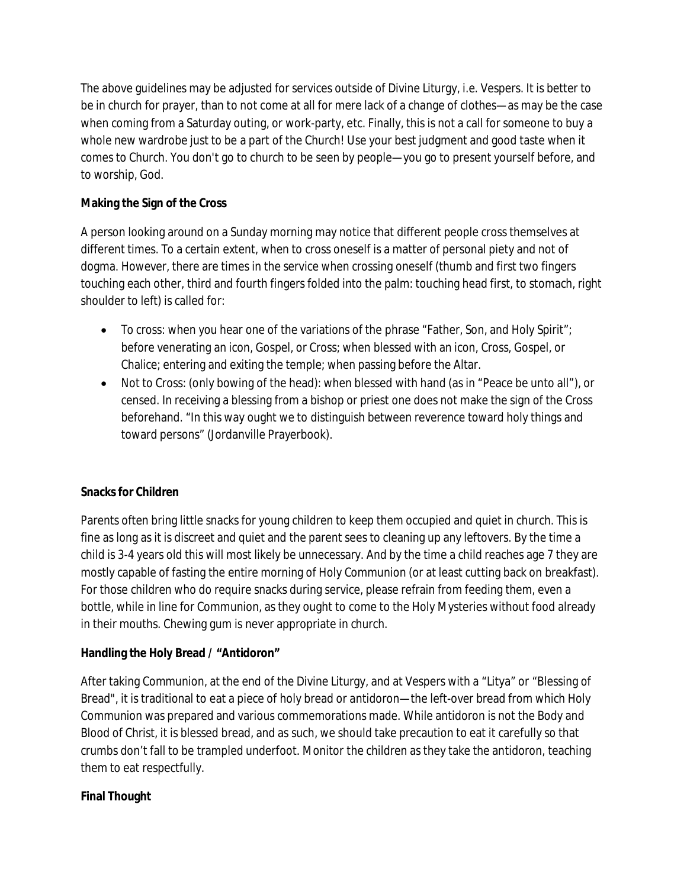The above guidelines may be adjusted for services outside of Divine Liturgy, i.e. Vespers. It is better to be in church for prayer, than to not come at all for mere lack of a change of clothes—as may be the case when coming from a Saturday outing, or work-party, etc. Finally, this is not a call for someone to buy a whole new wardrobe just to be a part of the Church! Use your best judgment and good taste when it comes to Church. You don't go to church to be seen by people—you go to present yourself before, and to worship, God.

## **Making the Sign of the Cross**

A person looking around on a Sunday morning may notice that different people cross themselves at different times. To a certain extent, when to cross oneself is a matter of personal piety and not of dogma. However, there are times in the service when crossing oneself (thumb and first two fingers touching each other, third and fourth fingers folded into the palm: touching head first, to stomach, right shoulder to left) is called for:

- To cross: when you hear one of the variations of the phrase "Father, Son, and Holy Spirit"; before venerating an icon, Gospel, or Cross; when blessed with an icon, Cross, Gospel, or Chalice; entering and exiting the temple; when passing before the Altar.
- Not to Cross: (only bowing of the head): when blessed with hand (as in "Peace be unto all"), or censed. In receiving a blessing from a bishop or priest one does not make the sign of the Cross beforehand. "In this way ought we to distinguish between reverence toward holy things and toward persons" (Jordanville Prayerbook).

### **Snacks for Children**

Parents often bring little snacks for young children to keep them occupied and quiet in church. This is fine as long as it is discreet and quiet and the parent sees to cleaning up any leftovers. By the time a child is 3-4 years old this will most likely be unnecessary. And by the time a child reaches age 7 they are mostly capable of fasting the entire morning of Holy Communion (or at least cutting back on breakfast). For those children who do require snacks during service, please refrain from feeding them, even a bottle, while in line for Communion, as they ought to come to the Holy Mysteries without food already in their mouths. Chewing gum is never appropriate in church.

### **Handling the Holy Bread / "Antidoron"**

After taking Communion, at the end of the Divine Liturgy, and at Vespers with a "Litya" or "Blessing of Bread", it is traditional to eat a piece of holy bread or antidoron—the left-over bread from which Holy Communion was prepared and various commemorations made. While antidoron is not the Body and Blood of Christ, it is blessed bread, and as such, we should take precaution to eat it carefully so that crumbs don't fall to be trampled underfoot. Monitor the children as they take the antidoron, teaching them to eat respectfully.

### **Final Thought**